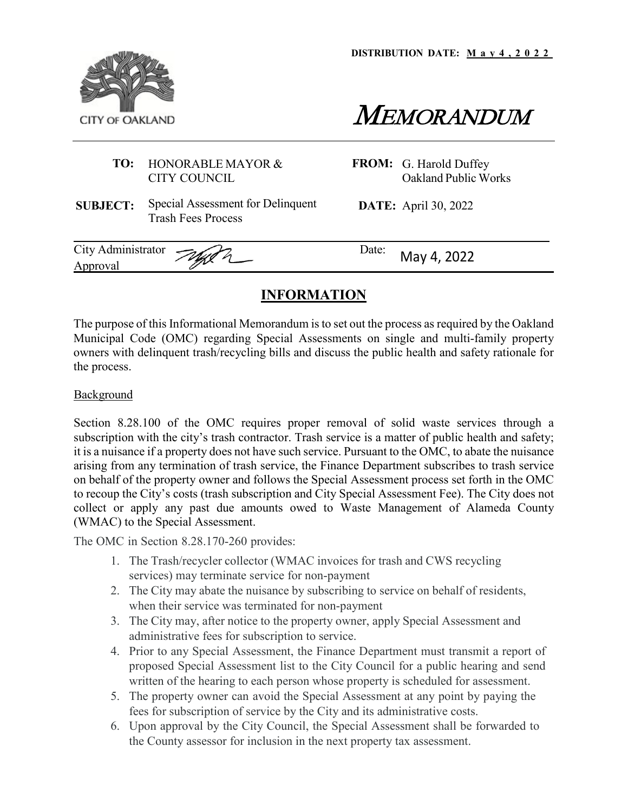**DISTRIBUTION DATE: M a y 4 , 2022**





## **TO:** HONORABLE MAYOR & CITY COUNCIL

**FROM:** G. Harold Duffey Oakland Public Works

**SUBJECT:** Special Assessment for Delinquent Trash Fees Process

**DATE:** April 30, 2022

| City Administrator Just<br>Date:<br>Approval | May 4, 2022 |
|----------------------------------------------|-------------|
|----------------------------------------------|-------------|

# **INFORMATION**

The purpose of this Informational Memorandum is to set out the process as required by the Oakland Municipal Code (OMC) regarding Special Assessments on single and multi-family property owners with delinquent trash/recycling bills and discuss the public health and safety rationale for the process.

### **Background**

Section 8.28.100 of the OMC requires proper removal of solid waste services through a subscription with the city's trash contractor. Trash service is a matter of public health and safety; it is a nuisance if a property does not have such service. Pursuant to the OMC, to abate the nuisance arising from any termination of trash service, the Finance Department subscribes to trash service on behalf of the property owner and follows the Special Assessment process set forth in the OMC to recoup the City's costs (trash subscription and City Special Assessment Fee). The City does not collect or apply any past due amounts owed to Waste Management of Alameda County (WMAC) to the Special Assessment.

The OMC in Section 8.28.170-260 provides:

- 1. The Trash/recycler collector (WMAC invoices for trash and CWS recycling services) may terminate service for non-payment
- 2. The City may abate the nuisance by subscribing to service on behalf of residents, when their service was terminated for non-payment
- 3. The City may, after notice to the property owner, apply Special Assessment and administrative fees for subscription to service.
- 4. Prior to any Special Assessment, the Finance Department must transmit a report of proposed Special Assessment list to the City Council for a public hearing and send written of the hearing to each person whose property is scheduled for assessment.
- 5. The property owner can avoid the Special Assessment at any point by paying the fees for subscription of service by the City and its administrative costs.
- 6. Upon approval by the City Council, the Special Assessment shall be forwarded to the County assessor for inclusion in the next property tax assessment.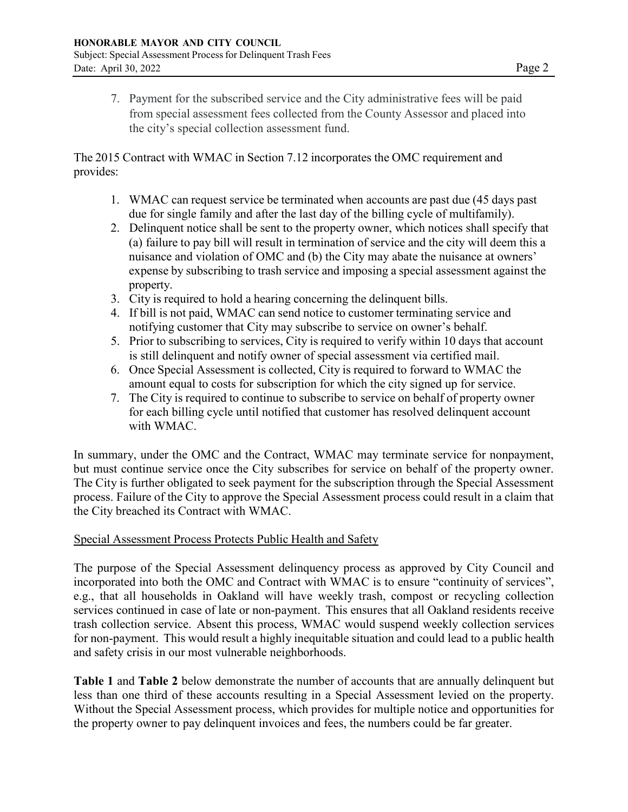7. Payment for the subscribed service and the City administrative fees will be paid from special assessment fees collected from the County Assessor and placed into the city's special collection assessment fund.

The 2015 Contract with WMAC in Section 7.12 incorporates the OMC requirement and provides:

- 1. WMAC can request service be terminated when accounts are past due (45 days past due for single family and after the last day of the billing cycle of multifamily).
- 2. Delinquent notice shall be sent to the property owner, which notices shall specify that (a) failure to pay bill will result in termination of service and the city will deem this a nuisance and violation of OMC and (b) the City may abate the nuisance at owners' expense by subscribing to trash service and imposing a special assessment against the property.
- 3. City is required to hold a hearing concerning the delinquent bills.
- 4. If bill is not paid, WMAC can send notice to customer terminating service and notifying customer that City may subscribe to service on owner's behalf.
- 5. Prior to subscribing to services, City is required to verify within 10 days that account is still delinquent and notify owner of special assessment via certified mail.
- 6. Once Special Assessment is collected, City is required to forward to WMAC the amount equal to costs for subscription for which the city signed up for service.
- 7. The City is required to continue to subscribe to service on behalf of property owner for each billing cycle until notified that customer has resolved delinquent account with WMAC.

In summary, under the OMC and the Contract, WMAC may terminate service for nonpayment, but must continue service once the City subscribes for service on behalf of the property owner. The City is further obligated to seek payment for the subscription through the Special Assessment process. Failure of the City to approve the Special Assessment process could result in a claim that the City breached its Contract with WMAC.

### Special Assessment Process Protects Public Health and Safety

The purpose of the Special Assessment delinquency process as approved by City Council and incorporated into both the OMC and Contract with WMAC is to ensure "continuity of services", e.g., that all households in Oakland will have weekly trash, compost or recycling collection services continued in case of late or non-payment. This ensures that all Oakland residents receive trash collection service. Absent this process, WMAC would suspend weekly collection services for non-payment. This would result a highly inequitable situation and could lead to a public health and safety crisis in our most vulnerable neighborhoods.

**Table 1** and **Table 2** below demonstrate the number of accounts that are annually delinquent but less than one third of these accounts resulting in a Special Assessment levied on the property. Without the Special Assessment process, which provides for multiple notice and opportunities for the property owner to pay delinquent invoices and fees, the numbers could be far greater.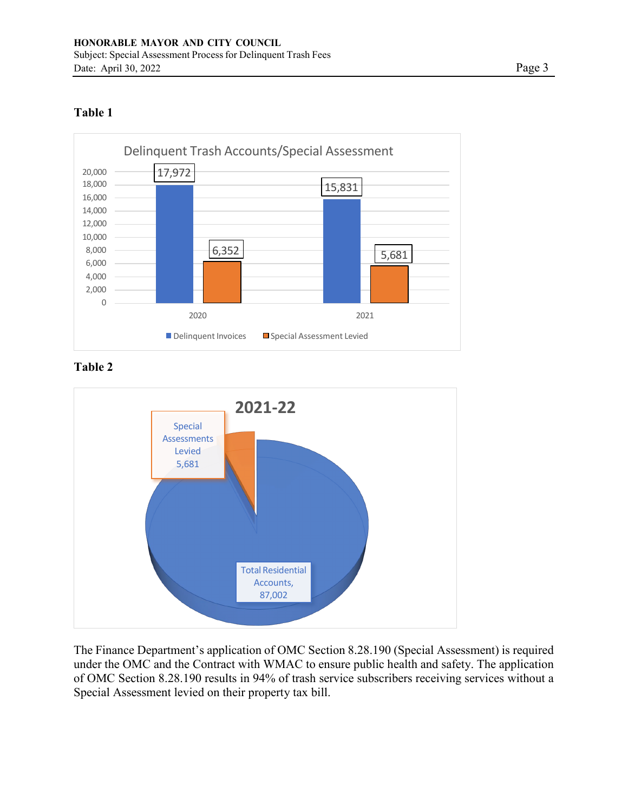## **Table 1**



**Table 2**



The Finance Department's application of OMC Section 8.28.190 (Special Assessment) is required under the OMC and the Contract with WMAC to ensure public health and safety. The application of OMC Section 8.28.190 results in 94% of trash service subscribers receiving services without a Special Assessment levied on their property tax bill.